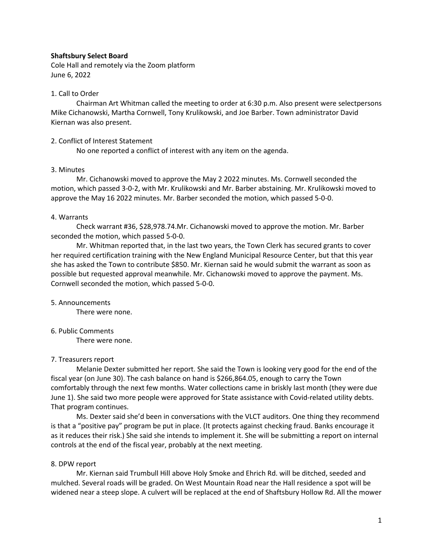## **Shaftsbury Select Board**

Cole Hall and remotely via the Zoom platform June 6, 2022

## 1. Call to Order

Chairman Art Whitman called the meeting to order at 6:30 p.m. Also present were selectpersons Mike Cichanowski, Martha Cornwell, Tony Krulikowski, and Joe Barber. Town administrator David Kiernan was also present.

## 2. Conflict of Interest Statement

No one reported a conflict of interest with any item on the agenda.

## 3. Minutes

Mr. Cichanowski moved to approve the May 2 2022 minutes. Ms. Cornwell seconded the motion, which passed 3-0-2, with Mr. Krulikowski and Mr. Barber abstaining. Mr. Krulikowski moved to approve the May 16 2022 minutes. Mr. Barber seconded the motion, which passed 5-0-0.

## 4. Warrants

Check warrant #36, \$28,978.74.Mr. Cichanowski moved to approve the motion. Mr. Barber seconded the motion, which passed 5-0-0.

Mr. Whitman reported that, in the last two years, the Town Clerk has secured grants to cover her required certification training with the New England Municipal Resource Center, but that this year she has asked the Town to contribute \$850. Mr. Kiernan said he would submit the warrant as soon as possible but requested approval meanwhile. Mr. Cichanowski moved to approve the payment. Ms. Cornwell seconded the motion, which passed 5-0-0.

## 5. Announcements

There were none.

# 6. Public Comments

There were none.

# 7. Treasurers report

Melanie Dexter submitted her report. She said the Town is looking very good for the end of the fiscal year (on June 30). The cash balance on hand is \$266,864.05, enough to carry the Town comfortably through the next few months. Water collections came in briskly last month (they were due June 1). She said two more people were approved for State assistance with Covid-related utility debts. That program continues.

Ms. Dexter said she'd been in conversations with the VLCT auditors. One thing they recommend is that a "positive pay" program be put in place. (It protects against checking fraud. Banks encourage it as it reduces their risk.) She said she intends to implement it. She will be submitting a report on internal controls at the end of the fiscal year, probably at the next meeting.

# 8. DPW report

Mr. Kiernan said Trumbull Hill above Holy Smoke and Ehrich Rd. will be ditched, seeded and mulched. Several roads will be graded. On West Mountain Road near the Hall residence a spot will be widened near a steep slope. A culvert will be replaced at the end of Shaftsbury Hollow Rd. All the mower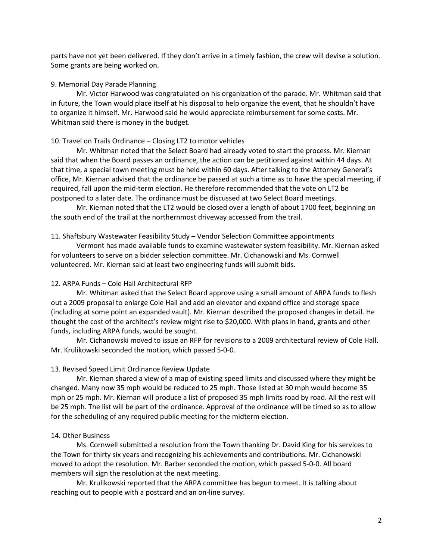parts have not yet been delivered. If they don't arrive in a timely fashion, the crew will devise a solution. Some grants are being worked on.

#### 9. Memorial Day Parade Planning

Mr. Victor Harwood was congratulated on his organization of the parade. Mr. Whitman said that in future, the Town would place itself at his disposal to help organize the event, that he shouldn't have to organize it himself. Mr. Harwood said he would appreciate reimbursement for some costs. Mr. Whitman said there is money in the budget.

#### 10. Travel on Trails Ordinance – Closing LT2 to motor vehicles

Mr. Whitman noted that the Select Board had already voted to start the process. Mr. Kiernan said that when the Board passes an ordinance, the action can be petitioned against within 44 days. At that time, a special town meeting must be held within 60 days. After talking to the Attorney General's office, Mr. Kiernan advised that the ordinance be passed at such a time as to have the special meeting, if required, fall upon the mid-term election. He therefore recommended that the vote on LT2 be postponed to a later date. The ordinance must be discussed at two Select Board meetings.

Mr. Kiernan noted that the LT2 would be closed over a length of about 1700 feet, beginning on the south end of the trail at the northernmost driveway accessed from the trail.

#### 11. Shaftsbury Wastewater Feasibility Study – Vendor Selection Committee appointments

Vermont has made available funds to examine wastewater system feasibility. Mr. Kiernan asked for volunteers to serve on a bidder selection committee. Mr. Cichanowski and Ms. Cornwell volunteered. Mr. Kiernan said at least two engineering funds will submit bids.

## 12. ARPA Funds – Cole Hall Architectural RFP

Mr. Whitman asked that the Select Board approve using a small amount of ARPA funds to flesh out a 2009 proposal to enlarge Cole Hall and add an elevator and expand office and storage space (including at some point an expanded vault). Mr. Kiernan described the proposed changes in detail. He thought the cost of the architect's review might rise to \$20,000. With plans in hand, grants and other funds, including ARPA funds, would be sought.

Mr. Cichanowski moved to issue an RFP for revisions to a 2009 architectural review of Cole Hall. Mr. Krulikowski seconded the motion, which passed 5-0-0.

## 13. Revised Speed Limit Ordinance Review Update

Mr. Kiernan shared a view of a map of existing speed limits and discussed where they might be changed. Many now 35 mph would be reduced to 25 mph. Those listed at 30 mph would become 35 mph or 25 mph. Mr. Kiernan will produce a list of proposed 35 mph limits road by road. All the rest will be 25 mph. The list will be part of the ordinance. Approval of the ordinance will be timed so as to allow for the scheduling of any required public meeting for the midterm election.

### 14. Other Business

Ms. Cornwell submitted a resolution from the Town thanking Dr. David King for his services to the Town for thirty six years and recognizing his achievements and contributions. Mr. Cichanowski moved to adopt the resolution. Mr. Barber seconded the motion, which passed 5-0-0. All board members will sign the resolution at the next meeting.

Mr. Krulikowski reported that the ARPA committee has begun to meet. It is talking about reaching out to people with a postcard and an on-line survey.